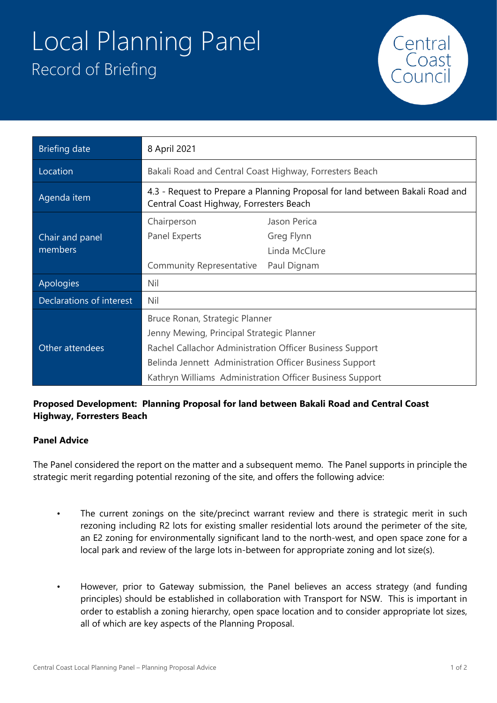## Local Planning Panel Record of Briefing



| <b>Briefing date</b>       | 8 April 2021                                                                                                             |               |
|----------------------------|--------------------------------------------------------------------------------------------------------------------------|---------------|
| Location                   | Bakali Road and Central Coast Highway, Forresters Beach                                                                  |               |
| Agenda item                | 4.3 - Request to Prepare a Planning Proposal for land between Bakali Road and<br>Central Coast Highway, Forresters Beach |               |
|                            | Chairperson                                                                                                              | Jason Perica  |
| Chair and panel<br>members | Panel Experts                                                                                                            | Greg Flynn    |
|                            |                                                                                                                          | Linda McClure |
|                            | <b>Community Representative</b>                                                                                          | Paul Dignam   |
| Apologies                  | Nil                                                                                                                      |               |
| Declarations of interest   | Nil                                                                                                                      |               |
| Other attendees            | Bruce Ronan, Strategic Planner                                                                                           |               |
|                            | Jenny Mewing, Principal Strategic Planner                                                                                |               |
|                            | Rachel Callachor Administration Officer Business Support                                                                 |               |
|                            | Belinda Jennett Administration Officer Business Support                                                                  |               |
|                            | Kathryn Williams Administration Officer Business Support                                                                 |               |

## **Proposed Development: Planning Proposal for land between Bakali Road and Central Coast Highway, Forresters Beach**

## **Panel Advice**

The Panel considered the report on the matter and a subsequent memo. The Panel supports in principle the strategic merit regarding potential rezoning of the site, and offers the following advice:

- The current zonings on the site/precinct warrant review and there is strategic merit in such rezoning including R2 lots for existing smaller residential lots around the perimeter of the site, an E2 zoning for environmentally significant land to the north-west, and open space zone for a local park and review of the large lots in-between for appropriate zoning and lot size(s).
- However, prior to Gateway submission, the Panel believes an access strategy (and funding principles) should be established in collaboration with Transport for NSW. This is important in order to establish a zoning hierarchy, open space location and to consider appropriate lot sizes, all of which are key aspects of the Planning Proposal.